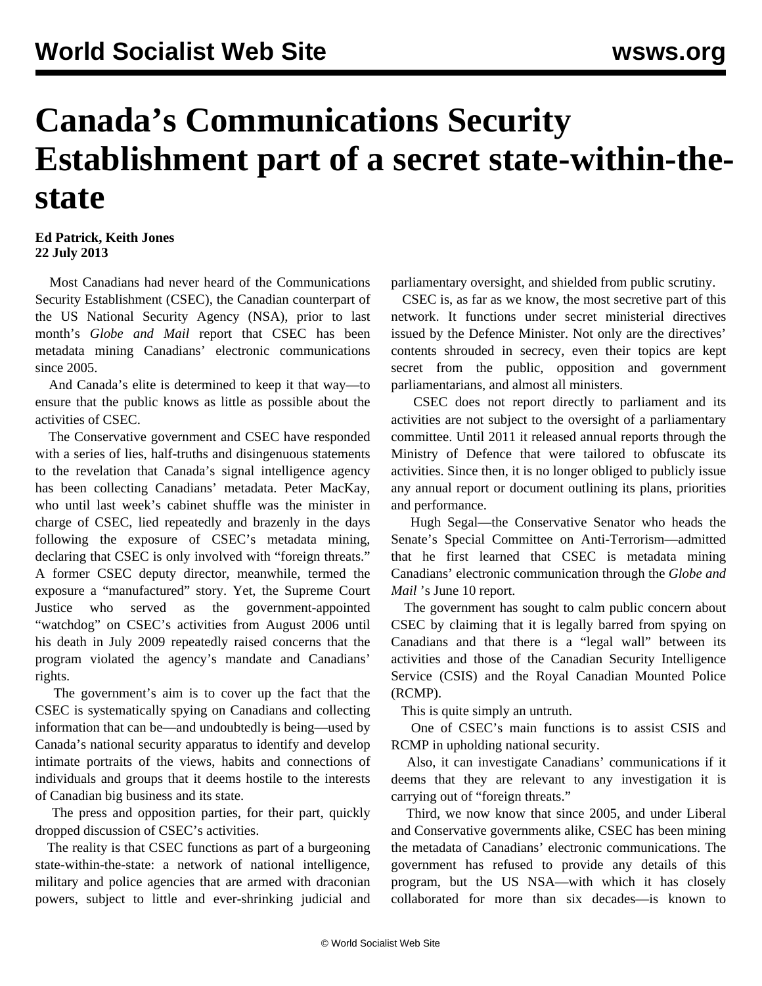## **Canada's Communications Security Establishment part of a secret state-within-thestate**

## **Ed Patrick, Keith Jones 22 July 2013**

 Most Canadians had never heard of the Communications Security Establishment (CSEC), the Canadian counterpart of the US National Security Agency (NSA), prior to last month's *Globe and Mail* report that CSEC has been metadata mining Canadians' electronic communications since 2005.

 And Canada's elite is determined to keep it that way—to ensure that the public knows as little as possible about the activities of CSEC.

 The Conservative government and CSEC have responded with a series of lies, half-truths and disingenuous statements to the revelation that Canada's signal intelligence agency has been collecting Canadians' metadata. Peter MacKay, who until last week's cabinet shuffle was the minister in charge of CSEC, lied repeatedly and brazenly in the days following the exposure of CSEC's metadata mining, declaring that CSEC is only involved with "foreign threats." A former CSEC deputy director, meanwhile, termed the exposure a "manufactured" story. Yet, the Supreme Court Justice who served as the government-appointed "watchdog" on CSEC's activities from August 2006 until his death in July 2009 repeatedly raised concerns that the program violated the agency's mandate and Canadians' rights.

 The government's aim is to cover up the fact that the CSEC is systematically spying on Canadians and collecting information that can be—and undoubtedly is being—used by Canada's national security apparatus to identify and develop intimate portraits of the views, habits and connections of individuals and groups that it deems hostile to the interests of Canadian big business and its state.

 The press and opposition parties, for their part, quickly dropped discussion of CSEC's activities.

 The reality is that CSEC functions as part of a burgeoning state-within-the-state: a network of national intelligence, military and police agencies that are armed with draconian powers, subject to little and ever-shrinking judicial and parliamentary oversight, and shielded from public scrutiny.

 CSEC is, as far as we know, the most secretive part of this network. It functions under secret ministerial directives issued by the Defence Minister. Not only are the directives' contents shrouded in secrecy, even their topics are kept secret from the public, opposition and government parliamentarians, and almost all ministers.

 CSEC does not report directly to parliament and its activities are not subject to the oversight of a parliamentary committee. Until 2011 it released annual reports through the Ministry of Defence that were tailored to obfuscate its activities. Since then, it is no longer obliged to publicly issue any annual report or document outlining its plans, priorities and performance.

 Hugh Segal—the Conservative Senator who heads the Senate's Special Committee on Anti-Terrorism—admitted that he first learned that CSEC is metadata mining Canadians' electronic communication through the *Globe and Mail* 's June 10 report.

 The government has sought to calm public concern about CSEC by claiming that it is legally barred from spying on Canadians and that there is a "legal wall" between its activities and those of the Canadian Security Intelligence Service (CSIS) and the Royal Canadian Mounted Police (RCMP).

This is quite simply an untruth.

 One of CSEC's main functions is to assist CSIS and RCMP in upholding national security.

 Also, it can investigate Canadians' communications if it deems that they are relevant to any investigation it is carrying out of "foreign threats."

 Third, we now know that since 2005, and under Liberal and Conservative governments alike, CSEC has been mining the metadata of Canadians' electronic communications. The government has refused to provide any details of this program, but the US NSA—with which it has closely collaborated for more than six decades—is known to